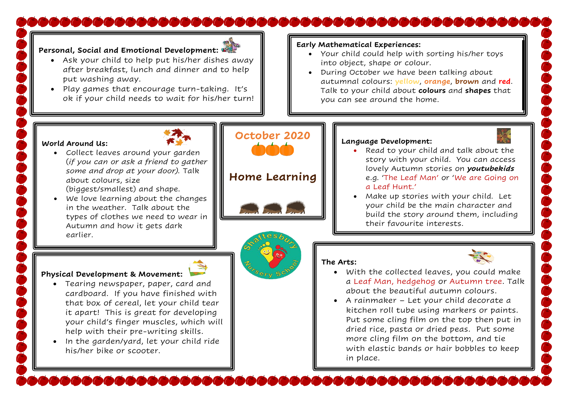# مامات فالماحي فالفاقات فالفاقات والماقات فالفاقات فالفاقات

### **Personal, Social and Emotional Development:**

- Ask your child to help put his/her dishes away after breakfast, lunch and dinner and to help put washing away.
- Play games that encourage turn-taking. It's ok if your child needs to wait for his/her turn!

### **Early Mathematical Experiences:**

**The Arts:**

- Your child could help with sorting his/her toys into object, shape or colour.
- During October we have been talking about autumnal colours: **yellow**, **orange**, **brown** and **red**. Talk to your child about **colours** and **shapes** that you can see around the home.

**Language Development:** 

a Leaf Hunt.'

### **World Around Us:**

- Collect leaves around your garden (*if you can or ask a friend to gather some and drop at your door).* Talk about colours, size (biggest/smallest) and shape.
- We love learning about the changes in the weather. Talk about the types of clothes we need to wear in Autumn and how it gets dark earlier.

# **October 2020**

## **Home Learning**





### **Physical Development & Movement:**

- Tearing newspaper, paper, card and cardboard. If you have finished with that box of cereal, let your child tear it apart! This is great for developing your child's finger muscles, which will help with their pre-writing skills.
- In the garden/yard, let your child ride his/her bike or scooter.

• With the collected leaves, you could make a Leaf Man, hedgehog or Autumn tree. Talk about the beautiful autumn colours.

• Read to your child and talk about the story with your child. You can access lovely Autumn stories on *youtubekids* e.g. 'The Leaf Man' or 'We are Going on

• Make up stories with your child. Let your child be the main character and build the story around them, including

their favourite interests.

• A rainmaker – Let your child decorate a kitchen roll tube using markers or paints. Put some cling film on the top then put in dried rice, pasta or dried peas. Put some more cling film on the bottom, and tie with elastic bands or hair bobbles to keep in place.